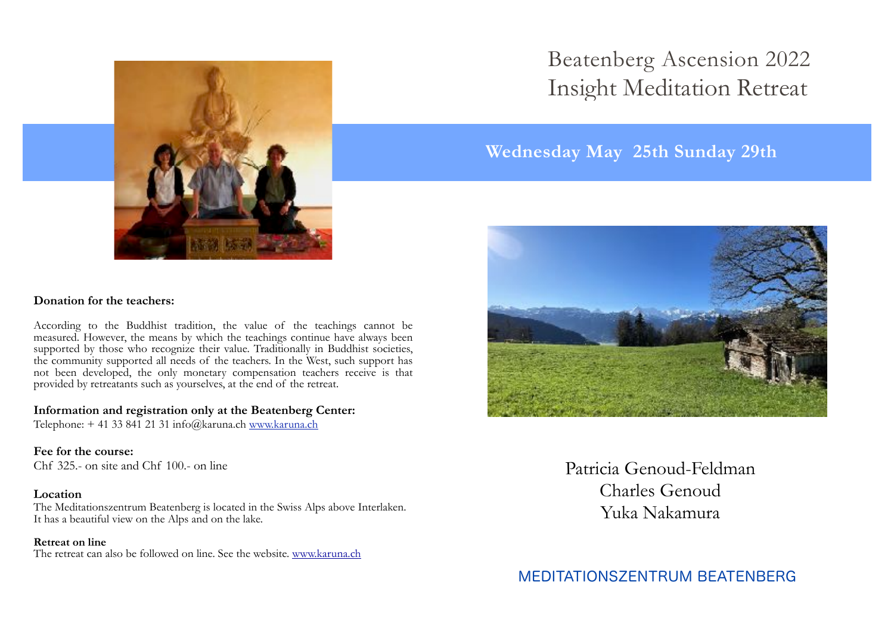

## **Donation for the teachers:**

According to the Buddhist tradition, the value of the teachings cannot be measured. However, the means by which the teachings continue have always been supported by those who recognize their value. Traditionally in Buddhist societies, the community supported all needs of the teachers. In the West, such support has not been developed, the only monetary compensation teachers receive is that provided by retreatants such as yourselves, at the end of the retreat.

## **Information and registration only at the Beatenberg Center:**

Telephone: + 41 33 841 21 31 info@karuna.ch [www.karuna.ch](http://www.karuna.ch)

### **Fee for the course:**

Chf 325.- on site and Chf 100.- on line

## **Location**

The Meditationszentrum Beatenberg is located in the Swiss Alps above Interlaken. It has a beautiful view on the Alps and on the lake.

#### **Retreat on line**

The retreat can also be followed on line. See the website. [www.karuna.ch](http://www.karuna.ch)

# Insight Meditation Retreat Beatenberg Ascension 2022

## **Wednesday May 25th Sunday 29th**



Patricia Genoud-Feldman Charles Genoud Yuka Nakamura

MEDITATIONSZENTRUM BEATENBERG